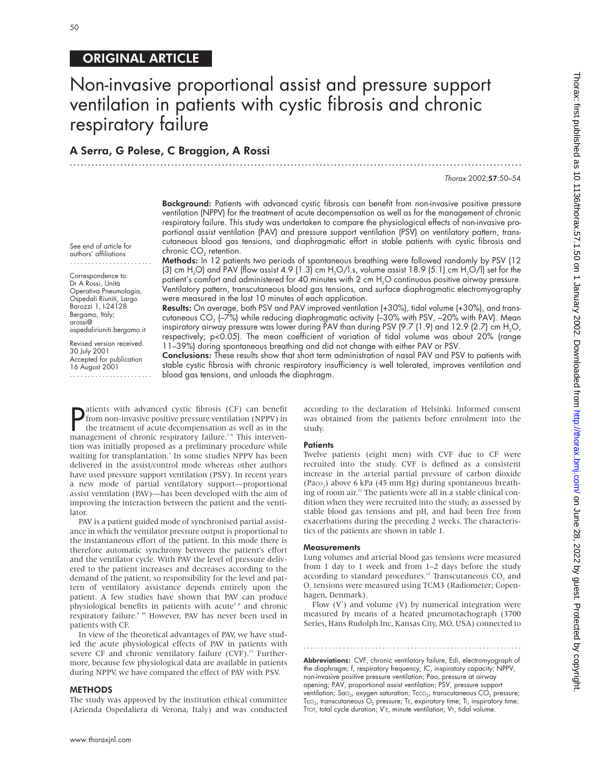# ORIGINAL ARTICLE

# Non-invasive proportional assist and pressure support ventilation in patients with cystic fibrosis and chronic respiratory failure

.............................................................................................................................

# A Serra, G Polese, C Braggion, A Rossi

#### Thorax 2002;57:50–54

**Background:** Patients with advanced cystic fibrosis can benefit from non-invasive positive pressure ventilation (NPPV) for the treatment of acute decompensation as well as for the management of chronic respiratory failure. This study was undertaken to compare the physiological effects of non-invasive proportional assist ventilation (PAV) and pressure support ventilation (PSV) on ventilatory pattern, transcutaneous blood gas tensions, and diaphragmatic effort in stable patients with cystic fibrosis and chronic CO<sub>2</sub> retention.

Methods: In 12 patients two periods of spontaneous breathing were followed randomly by PSV (12 (3) cm H<sub>2</sub>O) and PAV (flow assist 4.9 (1.3) cm H<sub>2</sub>O/l.s, volume assist 18.9 (5.1) cm H<sub>2</sub>O/l) set for the patient's comfort and administered for 40 minutes with 2 cm H2O continuous positive airway pressure. Ventilatory pattern, transcutaneous blood gas tensions, and surface diaphragmatic electromyography were measured in the last 10 minutes of each application.

Results: On average, both PSV and PAV improved ventilation (+30%), tidal volume (+30%), and transcutaneous  $CO<sub>2</sub>$  (–7%) while reducing diaphragmatic activity (–30% with PSV, –20% with PAV). Mean inspiratory airway pressure was lower during PAV than during PSV (9.7 (1.9) and 12.9 (2.7) cm  $H_2O$ , respectively; p<0.05). The mean coefficient of variation of tidal volume was about 20% (range 11–39%) during spontaneous breathing and did not change with either PAV or PSV.

Conclusions: These results show that short term administration of nasal PAV and PSV to patients with stable cystic fibrosis with chronic respiratory insufficiency is well tolerated, improves ventilation and blood gas tensions, and unloads the diaphragm.

**P** atients with advanced cystic fibrosis (CF) can benefit from non-invasive positive pressure ventilation (NPPV) in the treatment of acute decompensation as well as in the management of chronic respiratory failure.<sup>1–6</sup> T atients with advanced cystic fibrosis (CF) can benefit from non-invasive positive pressure ventilation (NPPV) in the treatment of acute decompensation as well as in the tion was initially proposed as a preliminary procedure while waiting for transplantation.<sup>1</sup> In some studies NPPV has been delivered in the assist/control mode whereas other authors have used pressure support ventilation (PSV). In recent years a new mode of partial ventilatory support—proportional assist ventilation (PAV)—has been developed with the aim of improving the interaction between the patient and the ventilator.

PAV is a patient guided mode of synchronised partial assistance in which the ventilator pressure output is proportional to the instantaneous effort of the patient. In this mode there is therefore automatic synchrony between the patient's effort and the ventilator cycle. With PAV the level of pressure delivered to the patient increases and decreases according to the demand of the patient, so responsibility for the level and pattern of ventilatory assistance depends entirely upon the patient. A few studies have shown that PAV can produce physiological benefits in patients with acute<sup>78</sup> and chronic respiratory failure.<sup>9 10</sup> However, PAV has never been used in patients with CF.

In view of the theoretical advantages of PAV, we have studied the acute physiological effects of PAV in patients with severe CF and chronic ventilatory failure  $(CVF)$ .<sup>11</sup> Furthermore, because few physiological data are available in patients during NPPV, we have compared the effect of PAV with PSV.

# METHODS

The study was approved by the institution ethical committee (Azienda Ospedaliera di Verona, Italy) and was conducted

according to the declaration of Helsinki. Informed consent was obtained from the patients before enrolment into the study.

# **Patients**

Twelve patients (eight men) with CVF due to CF were recruited into the study. CVF is defined as a consistent increase in the arterial partial pressure of carbon dioxide (Paco<sub>2</sub>) above 6 kPa (45 mm Hg) during spontaneous breathing of room air.<sup>11</sup> The patients were all in a stable clinical condition when they were recruited into the study, as assessed by stable blood gas tensions and pH, and had been free from exacerbations during the preceding 2 weeks. The characteristics of the patients are shown in table 1.

#### **Measurements**

Lung volumes and arterial blood gas tensions were measured from 1 day to 1 week and from 1–2 days before the study according to standard procedures.<sup>12</sup> Transcutaneous CO<sub>2</sub> and O, tensions were measured using TCM3 (Radiometer; Copenhagen, Denmark).

Flow  $(V')$  and volume  $(V)$  by numerical integration were measured by means of a heated pneumotachograph (3700 Series, Hans Rudolph Inc, Kansas City, MO, USA) connected to

.............................................................

Abbreviations: CVF, chronic ventilatory failure; Edi, electromyograph of the diaphragm; f, respiratory frequency; IC, inspiratory capacity; NPPV, non-invasive positive pressure ventilation; Pao, pressure at airway opening; PAV, proportional assist ventilation; PSV, pressure support ventilation; SaO<sub>2</sub>, oxygen saturation; TcCO<sub>2</sub>, transcutaneous CO<sub>2</sub> pressure;  $\text{To}_{2}$ , transcutaneous  $\text{O}_2$  pressure; Te, expiratory time; Ti, inspiratory time; TTOT, total cycle duration; V'E, minute ventilation; VT, tidal volume.

Correspondence to: Dr A Rossi, Unità Operativa Pneumologia, Ospedali Riuniti, Largo Barozzi 1, I-24128 Bergamo, Italy; arossi@

See end of article for authors' affiliations .......................

Revised version received 30 July 2001 Accepted for publication 16 August 2001 .......................

ospedaliriuniti.bergamo.it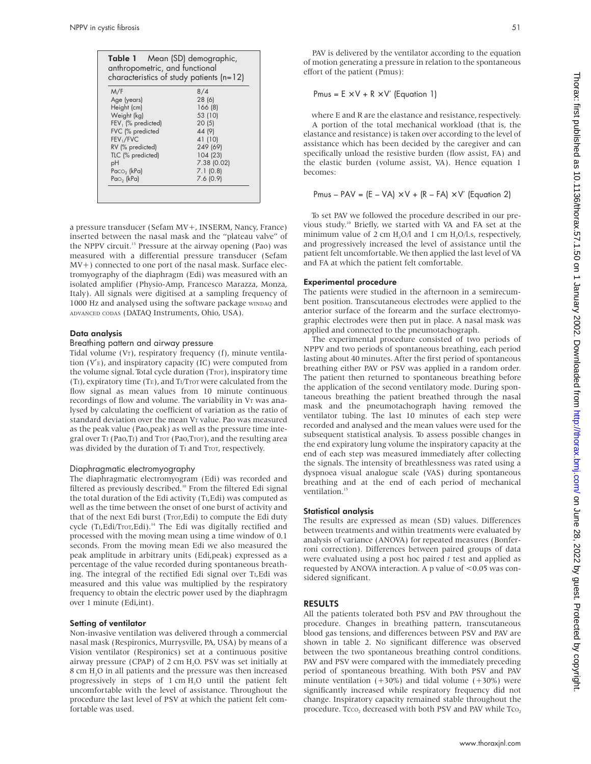| anthropometric, and functional<br>characteristics of study patients $(n=12)$ |             |  |  |
|------------------------------------------------------------------------------|-------------|--|--|
| M/F                                                                          | 8/4         |  |  |
| Age (years)                                                                  | 28(6)       |  |  |
| Height (cm)                                                                  | 166 (8)     |  |  |
| Weight (kg)                                                                  | 53 (10)     |  |  |
| FEV <sub>1</sub> (% predicted)                                               | 20(5)       |  |  |
| FVC (% predicted                                                             | 44 (9)      |  |  |
| FEV <sub>1</sub> /FVC                                                        | 41 (10)     |  |  |
| RV (% predicted)                                                             | 249 (69)    |  |  |
| TLC (% predicted)                                                            | 104 (23)    |  |  |
| рH                                                                           | 7.38 (0.02) |  |  |
| Paco <sub>2</sub> (kPa)                                                      | 7.1(0.8)    |  |  |
| $Pao2$ (kPa)                                                                 | 7.6(0.9)    |  |  |

a pressure transducer (Sefam MV+, INSERM, Nancy, France) inserted between the nasal mask and the "plateau valve" of the NPPV circuit.13 Pressure at the airway opening (Pao) was measured with a differential pressure transducer (Sefam MV+) connected to one port of the nasal mask. Surface electromyography of the diaphragm (Edi) was measured with an isolated amplifier (Physio-Amp, Francesco Marazza, Monza, Italy). All signals were digitised at a sampling frequency of 1000 Hz and analysed using the software package WINDAQ and ADVANCED CODAS (DATAQ Instruments, Ohio, USA).

# Data analysis

# Breathing pattern and airway pressure

Tidal volume (VT), respiratory frequency (f), minute ventilation (V′E), and inspiratory capacity (IC) were computed from the volume signal. Total cycle duration (Tror), inspiratory time (TI), expiratory time (TE), and TI/TTOT were calculated from the flow signal as mean values from 10 minute continuous recordings of flow and volume. The variability in V<sub>T</sub> was analysed by calculating the coefficient of variation as the ratio of standard deviation over the mean VT value. Pao was measured as the peak value (Pao,peak) as well as the pressure time integral over TI (Pao,TI) and TTOT (Pao,TTOT), and the resulting area was divided by the duration of TI and Tror, respectively.

#### Diaphragmatic electromyography

The diaphragmatic electromyogram (Edi) was recorded and filtered as previously described.<sup>10</sup> From the filtered Edi signal the total duration of the Edi activity (TI,Edi) was computed as well as the time between the onset of one burst of activity and that of the next Edi burst (Tror, Edi) to compute the Edi duty cycle (TI, Edi/Tror, Edi).<sup>14</sup> The Edi was digitally rectified and processed with the moving mean using a time window of 0.1 seconds. From the moving mean Edi we also measured the peak amplitude in arbitrary units (Edi,peak) expressed as a percentage of the value recorded during spontaneous breathing. The integral of the rectified Edi signal over TI, Edi was measured and this value was multiplied by the respiratory frequency to obtain the electric power used by the diaphragm over 1 minute (Edi,int).

#### Setting of ventilator

Non-invasive ventilation was delivered through a commercial nasal mask (Respironics, Murrysville, PA, USA) by means of a Vision ventilator (Respironics) set at a continuous positive airway pressure (CPAP) of 2 cm H<sub>2</sub>O. PSV was set initially at 8 cm H<sub>2</sub>O in all patients and the pressure was then increased progressively in steps of 1 cm H2O until the patient felt uncomfortable with the level of assistance. Throughout the procedure the last level of PSV at which the patient felt comfortable was used.

PAV is delivered by the ventilator according to the equation of motion generating a pressure in relation to the spontaneous effort of the patient (Pmus):

# Pmus =  $E \times V + R \times V'$  (Equation 1)

where E and R are the elastance and resistance, respectively. A portion of the total mechanical workload (that is, the elastance and resistance) is taken over according to the level of assistance which has been decided by the caregiver and can specifically unload the resistive burden (flow assist, FA) and the elastic burden (volume assist, VA). Hence equation 1 becomes:

Pmus – PAV =  $(E - VA) \times V + (R - FA) \times V'$  (Equation 2)

To set PAV we followed the procedure described in our previous study.10 Briefly, we started with VA and FA set at the minimum value of 2 cm  $H_2O/l$  and 1 cm  $H_2O/l$ .s, respectively, and progressively increased the level of assistance until the patient felt uncomfortable. We then applied the last level of VA and FA at which the patient felt comfortable.

# Experimental procedure

The patients were studied in the afternoon in a semirecumbent position. Transcutaneous electrodes were applied to the anterior surface of the forearm and the surface electromyographic electrodes were then put in place. A nasal mask was applied and connected to the pneumotachograph.

The experimental procedure consisted of two periods of NPPV and two periods of spontaneous breathing, each period lasting about 40 minutes. After the first period of spontaneous breathing either PAV or PSV was applied in a random order. The patient then returned to spontaneous breathing before the application of the second ventilatory mode. During spontaneous breathing the patient breathed through the nasal mask and the pneumotachograph having removed the ventilator tubing. The last 10 minutes of each step were recorded and analysed and the mean values were used for the subsequent statistical analysis. To assess possible changes in the end expiratory lung volume the inspiratory capacity at the end of each step was measured immediately after collecting the signals. The intensity of breathlessness was rated using a dyspnoea visual analogue scale (VAS) during spontaneous breathing and at the end of each period of mechanical ventilation.<sup>15</sup>

# Statistical analysis

The results are expressed as mean (SD) values. Differences between treatments and within treatments were evaluated by analysis of variance (ANOVA) for repeated measures (Bonferroni correction). Differences between paired groups of data were evaluated using a post hoc paired *t* test and applied as requested by ANOVA interaction. A p value of <0.05 was considered significant.

# RESULTS

All the patients tolerated both PSV and PAV throughout the procedure. Changes in breathing pattern, transcutaneous blood gas tensions, and differences between PSV and PAV are shown in table 2. No significant difference was observed between the two spontaneous breathing control conditions. PAV and PSV were compared with the immediately preceding period of spontaneous breathing. With both PSV and PAV minute ventilation  $(+30%)$  and tidal volume  $(+30%)$  were significantly increased while respiratory frequency did not change. Inspiratory capacity remained stable throughout the procedure. Tcco, decreased with both PSV and PAV while Tco,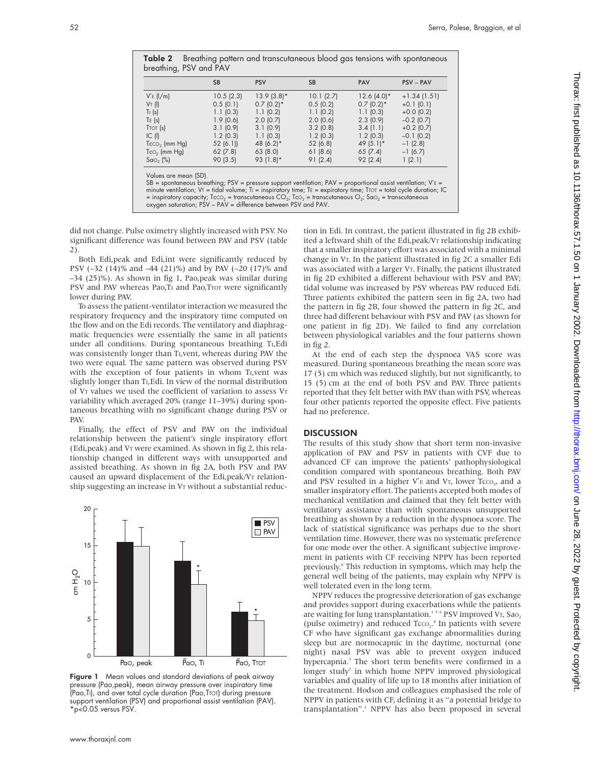|                                 | <b>SB</b>   | <b>PSV</b>               | <b>SB</b>   | PAV                      | <b>PSV-PAV</b> |
|---------------------------------|-------------|--------------------------|-------------|--------------------------|----------------|
| $V'E$ ( $l/m$ )                 | 10.5(2.3)   | $13.9(3.8)$ *            | 10.1(2.7)   | $12.6(4.0)*$             | $+1.34(1.51)$  |
| $V_T$ (i)                       | 0.5(0.1)    | $0.7$ (0.2) <sup>*</sup> | 0.5(0.2)    | $0.7$ (0.2) <sup>*</sup> | $+0.1(0.1)$    |
| $T_1$ (s)                       | 1.1(0.3)    | 1.1(0.2)                 | 1.1(0.2)    | 1.1(0.3)                 | $+0.0$ (0.2)   |
| TE(s)                           | 1.9(0.6)    | 2.0(0.7)                 | 2.0(0.6)    | 2.3(0.9)                 | $-0.2$ (0.7)   |
| $T$ TOT $(s)$                   | 3.1(0.9)    | 3.1(0.9)                 | $3.2$ (0.8) | 3.4(1.1)                 | $+0.2$ (0.7)   |
| IC (I)                          | $1.2$ (0.3) | 1.1(0.3)                 | $1.2$ (0.3) | $1.2$ (0.3)              | $-0.1(0.2)$    |
| $TccO2$ (mm $Hg$ )              | 52(6.1)     | 48 $(6.2)$ *             | 52 (6.8)    | 49 $(5.1)$ *             | $-1(2.8)$      |
| $\text{To}_2$ (mm $\text{Hg}$ ) | 62(7.8)     | 63(8.0)                  | 61(8.6)     | 65(7.4)                  | $-1(6.7)$      |
| $Sao,$ $\binom{9}{0}$           | 90(3.5)     | 93 $(1.8)$ *             | 91(2.4)     | 92(2.4)                  | 1(2.1)         |

Table 2 Breathing pattern and transcutaneous blood gas tensions with spontaneous

Values are mean (SD). SB = spontaneous breathing; PSV = pressure support ventilation; PAV = proportional assist ventilation; V′E = minute ventilation; Vτ = tidal volume; Tı = inspiratory time; Tɛ = expiratory time; Tτοτ = total cycle duration; IC<br>= inspiratory capacity; TccO<sub>2</sub> = transcutaneous CO<sub>2</sub>; TcO<sub>2</sub> = transcutaneous O<sub>2</sub>; SaO<sub>2</sub> = transcutane

did not change. Pulse oximetry slightly increased with PSV. No significant difference was found between PAV and PSV (table 2).

Both Edi,peak and Edi,int were significantly reduced by PSV (–32 (14)% and –44 (21)%) and by PAV (–20 (17)% and –34 (25)%). As shown in fig 1, Pao,peak was similar during PSV and PAV whereas Pao, TI and Pao, Tror were significantly lower during PAV.

To assess the patient-ventilator interaction we measured the respiratory frequency and the inspiratory time computed on the flow and on the Edi records. The ventilatory and diaphragmatic frequencies were essentially the same in all patients under all conditions. During spontaneous breathing TI,Edi was consistently longer than TI,vent, whereas during PAV the two were equal. The same pattern was observed during PSV with the exception of four patients in whom TI,vent was slightly longer than T<sub>I</sub>, Edi. In view of the normal distribution of VT values we used the coefficient of variation to assess VT variability which averaged 20% (range 11–39%) during spontaneous breathing with no significant change during PSV or PAV.

Finally, the effect of PSV and PAV on the individual relationship between the patient's single inspiratory effort (Edi,peak) and VT were examined. As shown in fig 2, this relationship changed in different ways with unsupported and assisted breathing. As shown in fig 2A, both PSV and PAV caused an upward displacement of the Edi,peak/VT relationship suggesting an increase in VT without a substantial reduc-



Figure 1 Mean values and standard deviations of peak airway pressure (Pao,peak), mean airway pressure over inspiratory time (Pao,TI), and over total cycle duration (Pao,TTOT) during pressure support ventilation (PSV) and proportional assist ventilation (PAV). \*p<0.05 versus PSV.

tion in Edi. In contrast, the patient illustrated in fig 2B exhibited a leftward shift of the Edi,peak/VT relationship indicating that a smaller inspiratory effort was associated with a minimal change in VT. In the patient illustrated in fig 2C a smaller Edi was associated with a larger  $V_T$ . Finally, the patient illustrated in fig 2D exhibited a different behaviour with PSV and PAV; tidal volume was increased by PSV whereas PAV reduced Edi. Three patients exhibited the pattern seen in fig 2A, two had the pattern in fig 2B, four showed the pattern in fig 2C, and three had different behaviour with PSV and PAV (as shown for one patient in fig 2D). We failed to find any correlation between physiological variables and the four patterns shown in fig 2.

At the end of each step the dyspnoea VAS score was measured. During spontaneous breathing the mean score was 17 (5) cm which was reduced slightly, but not significantly, to 15 (5) cm at the end of both PSV and PAV. Three patients reported that they felt better with PAV than with PSV, whereas four other patients reported the opposite effect. Five patients had no preference.

# **DISCUSSION**

The results of this study show that short term non-invasive application of PAV and PSV in patients with CVF due to advanced CF can improve the patients' pathophysiological condition compared with spontaneous breathing. Both PAV and PSV resulted in a higher  $V_E'$  and  $V_T$ , lower Tcco., and a smaller inspiratory effort. The patients accepted both modes of mechanical ventilation and claimed that they felt better with ventilatory assistance than with spontaneous unsupported breathing as shown by a reduction in the dyspnoea score. The lack of statistical significance was perhaps due to the short ventilation time. However, there was no systematic preference for one mode over the other. A significant subjective improvement in patients with CF receiving NPPV has been reported previously.<sup>6</sup> This reduction in symptoms, which may help the general well being of the patients, may explain why NPPV is well tolerated even in the long term.

NPPV reduces the progressive deterioration of gas exchange and provides support during exacerbations while the patients are waiting for lung transplantation.<sup>156</sup> PSV improved VT, Sao, (pulse oximetry) and reduced  $Tcco_2$ <sup>4</sup>. In patients with severe CF who have significant gas exchange abnormalities during sleep but are normocapnic in the daytime, nocturnal (one night) nasal PSV was able to prevent oxygen induced hypercapnia.<sup>3</sup> The short term benefits were confirmed in a longer study<sup>2</sup> in which home NPPV improved physiological variables and quality of life up to 18 months after initiation of the treatment. Hodson and colleagues emphasised the role of NPPV in patients with CF, defining it as "a potential bridge to transplantation".<sup>1</sup> NPPV has also been proposed in several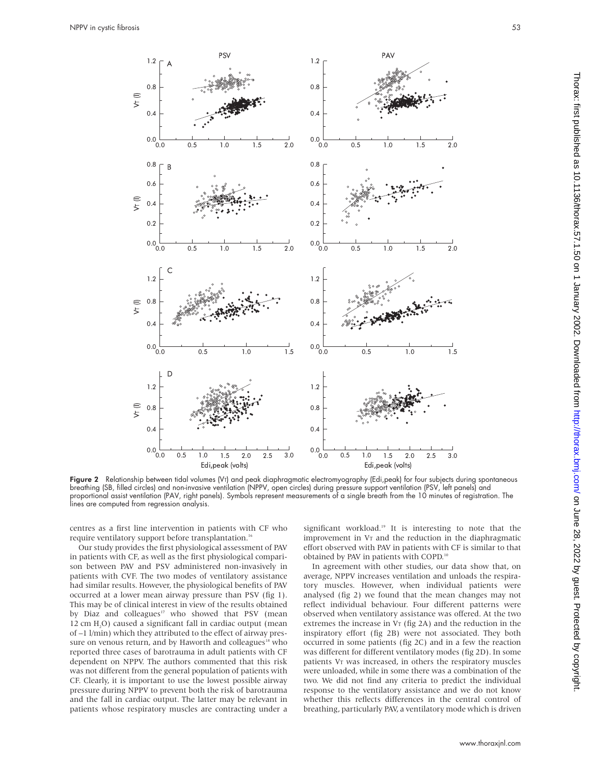

Figure 2 Relationship between tidal volumes (V<sub>T</sub>) and peak diaphragmatic electromyography (Edi,peak) for four subjects during spontaneous breathing (SB, filled circles) and non-invasive ventilation (NPPV, open circles) during pressure support ventilation (PSV, left panels) and proportional assist ventilation (PAV, right panels). Symbols represent measurements of a single breath from the 10 minutes of registration. The lines are computed from regression analysis.

centres as a first line intervention in patients with CF who require ventilatory support before transplantation.<sup>16</sup>

Our study provides the first physiological assessment of PAV in patients with CF, as well as the first physiological comparison between PAV and PSV administered non-invasively in patients with CVF. The two modes of ventilatory assistance had similar results. However, the physiological benefits of PAV occurred at a lower mean airway pressure than PSV (fig 1). This may be of clinical interest in view of the results obtained by Diaz and colleagues<sup>17</sup> who showed that PSV (mean 12 cm H<sub>2</sub>O) caused a significant fall in cardiac output (mean of –1 l/min) which they attributed to the effect of airway pressure on venous return, and by Haworth and colleagues<sup>18</sup> who reported three cases of barotrauma in adult patients with CF dependent on NPPV. The authors commented that this risk was not different from the general population of patients with CF. Clearly, it is important to use the lowest possible airway pressure during NPPV to prevent both the risk of barotrauma and the fall in cardiac output. The latter may be relevant in patients whose respiratory muscles are contracting under a

significant workload.<sup>19</sup> It is interesting to note that the improvement in VT and the reduction in the diaphragmatic effort observed with PAV in patients with CF is similar to that obtained by PAV in patients with COPD.10

In agreement with other studies, our data show that, on average, NPPV increases ventilation and unloads the respiratory muscles. However, when individual patients were analysed (fig 2) we found that the mean changes may not reflect individual behaviour. Four different patterns were observed when ventilatory assistance was offered. At the two extremes the increase in  $V_T$  (fig 2A) and the reduction in the inspiratory effort (fig 2B) were not associated. They both occurred in some patients (fig 2C) and in a few the reaction was different for different ventilatory modes (fig 2D). In some patients VT was increased, in others the respiratory muscles were unloaded, while in some there was a combination of the two. We did not find any criteria to predict the individual response to the ventilatory assistance and we do not know whether this reflects differences in the central control of breathing, particularly PAV, a ventilatory mode which is driven